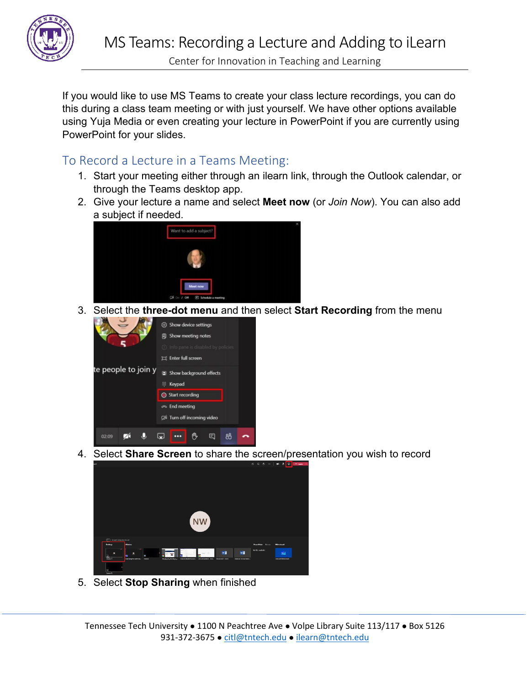

Center for Innovation in Teaching and Learning

If you would like to use MS Teams to create your class lecture recordings, you can do this during a class team meeting or with just yourself. We have other options available using Yuja Media or even creating your lecture in PowerPoint if you are currently using PowerPoint for your slides.

# To Record a Lecture in a Teams Meeting:

- 1. Start your meeting either through an ilearn link, through the Outlook calendar, or through the Teams desktop app.
- 2. Give your lecture a name and select **Meet now** (or *Join Now*). You can also add a subject if needed.



3. Select the **three-dot menu** and then select **Start Recording** from the menu



4. Select **Share Screen** to share the screen/presentation you wish to record



5. Select **Stop Sharing** when finished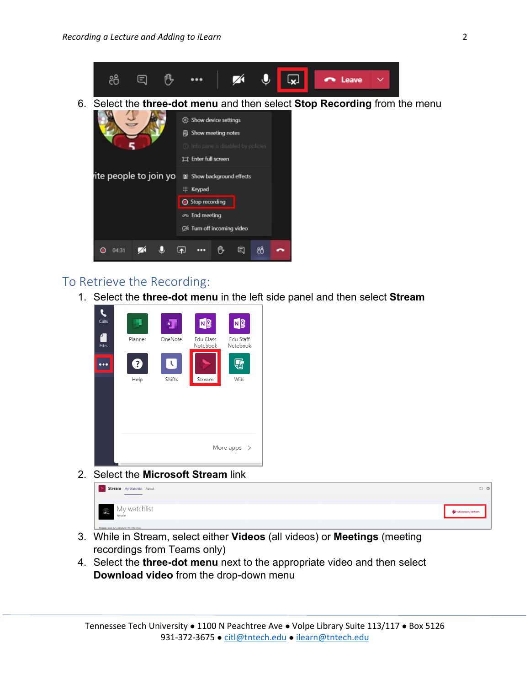

### To Retrieve the Recording:

1. Select the **three-dot menu** in the left side panel and then select **Stream**



2. Select the **Microsoft Stream** link



- 3. While in Stream, select either **Videos** (all videos) or **Meetings** (meeting recordings from Teams only)
- 4. Select the **three-dot menu** next to the appropriate video and then select **Download video** from the drop-down menu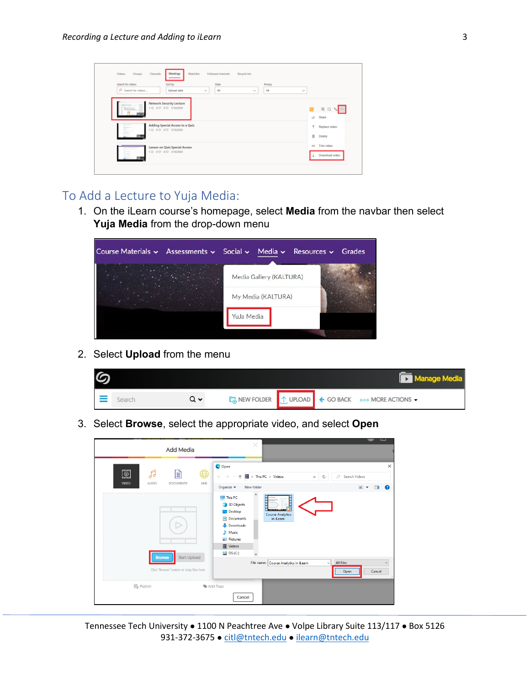| Channels<br><b>Videox</b><br>Groups<br>Search for videos<br>$O$ Search for videos | Watchlist<br>Followed channels<br>Meetings<br>Recycle bin<br>State<br>Sort by<br>Privacy<br>All<br>Upload date<br>All<br>$\gamma_{\rm eff}$<br>$\sim$ | $\sim$                                     |
|-----------------------------------------------------------------------------------|-------------------------------------------------------------------------------------------------------------------------------------------------------|--------------------------------------------|
|                                                                                   | Network Security Lecture<br>18 09 09 7/10/2020                                                                                                        | <b>BQ &amp;</b><br>$\overline{1}$<br>Share |
| <b>COLUMN</b><br>F                                                                | Adding Special Access to a Quiz<br>10 00 00 7/10/2020                                                                                                 | 후<br>Replace video<br>寅<br>Delete          |
| <b>State</b>                                                                      | Lesson on Quiz Special Access<br>10 00 00 7/10/2020                                                                                                   | ÷<br>Trim video<br>Download video          |

### To Add a Lecture to Yuja Media:

1. On the iLearn course's homepage, select **Media** from the navbar then select **Yuja Media** from the drop-down menu



2. Select **Upload** from the menu



3. Select **Browse**, select the appropriate video, and select **Open**



Tennessee Tech University ● 1100 N Peachtree Ave ● Volpe Library Suite 113/117 ● Box 5126 931-372-3675 · [citl@tntech.edu](mailto:citl@tntech.edu) · [ilearn@tntech.edu](mailto:ilearn@tntech.edu)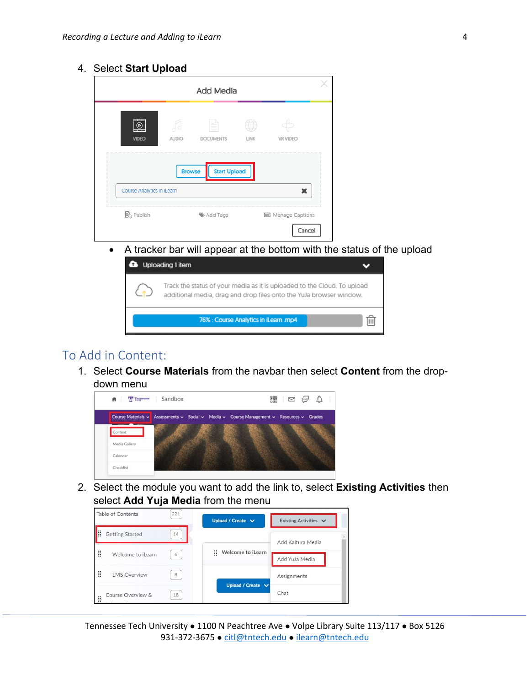#### 4. Select **Start Upload**

| (Þ                         | F             | ≣                   |             |                 |
|----------------------------|---------------|---------------------|-------------|-----------------|
| <b>VIDEO</b>               | <b>AUDIO</b>  | <b>DOCUMENTS</b>    | <b>LINK</b> | <b>VR VIDEO</b> |
|                            | <b>Browse</b> | <b>Start Upload</b> |             |                 |
| Course Analytics in iLearn |               |                     |             |                 |

• A tracker bar will appear at the bottom with the status of the upload



## To Add in Content:

1. Select **Course Materials** from the navbar then select **Content** from the dropdown menu



2. Select the module you want to add the link to, select **Existing Activities** then select **Add Yuja Media** from the menu



Tennessee Tech University • 1100 N Peachtree Ave • Volpe Library Suite 113/117 • Box 5126 931-372-3675 · [citl@tntech.edu](mailto:citl@tntech.edu) · [ilearn@tntech.edu](mailto:ilearn@tntech.edu)